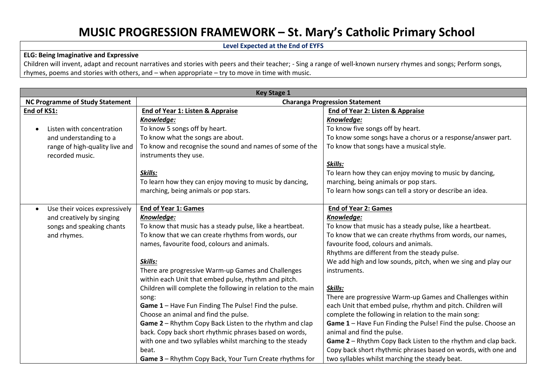## **MUSIC PROGRESSION FRAMEWORK – St. Mary's Catholic Primary School**

**Level Expected at the End of EYFS**

## **ELG: Being Imaginative and Expressive**

Children will invent, adapt and recount narratives and stories with peers and their teacher; - Sing a range of well-known nursery rhymes and songs; Perform songs, rhymes, poems and stories with others, and – when appropriate – try to move in time with music.

| <b>Key Stage 1</b>                         |                                                              |                                                                |  |
|--------------------------------------------|--------------------------------------------------------------|----------------------------------------------------------------|--|
| <b>NC Programme of Study Statement</b>     | <b>Charanga Progression Statement</b>                        |                                                                |  |
| End of KS1:                                | End of Year 1: Listen & Appraise                             | End of Year 2: Listen & Appraise                               |  |
|                                            | Knowledge:                                                   | Knowledge:                                                     |  |
| Listen with concentration                  | To know 5 songs off by heart.                                | To know five songs off by heart.                               |  |
| and understanding to a                     | To know what the songs are about.                            | To know some songs have a chorus or a response/answer part.    |  |
| range of high-quality live and             | To know and recognise the sound and names of some of the     | To know that songs have a musical style.                       |  |
| recorded music.                            | instruments they use.                                        |                                                                |  |
|                                            |                                                              | Skills:                                                        |  |
|                                            | Skills:                                                      | To learn how they can enjoy moving to music by dancing,        |  |
|                                            | To learn how they can enjoy moving to music by dancing,      | marching, being animals or pop stars.                          |  |
|                                            | marching, being animals or pop stars.                        | To learn how songs can tell a story or describe an idea.       |  |
|                                            |                                                              |                                                                |  |
| Use their voices expressively<br>$\bullet$ | <b>End of Year 1: Games</b>                                  | <b>End of Year 2: Games</b>                                    |  |
| and creatively by singing                  | Knowledge:                                                   | Knowledge:                                                     |  |
| songs and speaking chants                  | To know that music has a steady pulse, like a heartbeat.     | To know that music has a steady pulse, like a heartbeat.       |  |
| and rhymes.                                | To know that we can create rhythms from words, our           | To know that we can create rhythms from words, our names,      |  |
|                                            | names, favourite food, colours and animals.                  | favourite food, colours and animals.                           |  |
|                                            |                                                              | Rhythms are different from the steady pulse.                   |  |
|                                            | Skills:                                                      | We add high and low sounds, pitch, when we sing and play our   |  |
|                                            | There are progressive Warm-up Games and Challenges           | instruments.                                                   |  |
|                                            | within each Unit that embed pulse, rhythm and pitch.         |                                                                |  |
|                                            | Children will complete the following in relation to the main | Skills:                                                        |  |
|                                            | song:                                                        | There are progressive Warm-up Games and Challenges within      |  |
|                                            | Game 1 - Have Fun Finding The Pulse! Find the pulse.         | each Unit that embed pulse, rhythm and pitch. Children will    |  |
|                                            | Choose an animal and find the pulse.                         | complete the following in relation to the main song:           |  |
|                                            | Game 2 - Rhythm Copy Back Listen to the rhythm and clap      | Game 1 - Have Fun Finding the Pulse! Find the pulse. Choose an |  |
|                                            | back. Copy back short rhythmic phrases based on words,       | animal and find the pulse.                                     |  |
|                                            | with one and two syllables whilst marching to the steady     | Game 2 - Rhythm Copy Back Listen to the rhythm and clap back.  |  |
|                                            | beat.                                                        | Copy back short rhythmic phrases based on words, with one and  |  |
|                                            | Game 3 - Rhythm Copy Back, Your Turn Create rhythms for      | two syllables whilst marching the steady beat.                 |  |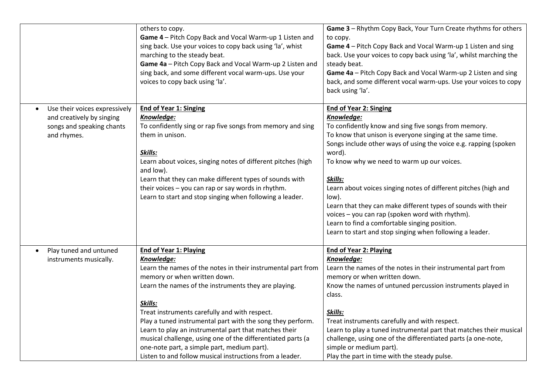|                                                                                                        | others to copy.<br>Game 4 - Pitch Copy Back and Vocal Warm-up 1 Listen and<br>sing back. Use your voices to copy back using 'la', whist<br>marching to the steady beat.<br>Game 4a - Pitch Copy Back and Vocal Warm-up 2 Listen and<br>sing back, and some different vocal warm-ups. Use your<br>voices to copy back using 'la'.                                                                                                                                                                                                                                 | Game 3 - Rhythm Copy Back, Your Turn Create rhythms for others<br>to copy.<br>Game 4 - Pitch Copy Back and Vocal Warm-up 1 Listen and sing<br>back. Use your voices to copy back using 'la', whilst marching the<br>steady beat.<br>Game 4a - Pitch Copy Back and Vocal Warm-up 2 Listen and sing<br>back, and some different vocal warm-ups. Use your voices to copy<br>back using 'la'.                                                                                                                                                                                                                            |
|--------------------------------------------------------------------------------------------------------|------------------------------------------------------------------------------------------------------------------------------------------------------------------------------------------------------------------------------------------------------------------------------------------------------------------------------------------------------------------------------------------------------------------------------------------------------------------------------------------------------------------------------------------------------------------|----------------------------------------------------------------------------------------------------------------------------------------------------------------------------------------------------------------------------------------------------------------------------------------------------------------------------------------------------------------------------------------------------------------------------------------------------------------------------------------------------------------------------------------------------------------------------------------------------------------------|
| Use their voices expressively<br>and creatively by singing<br>songs and speaking chants<br>and rhymes. | <b>End of Year 1: Singing</b><br>Knowledge:<br>To confidently sing or rap five songs from memory and sing<br>them in unison.<br>Skills:<br>Learn about voices, singing notes of different pitches (high<br>and low).<br>Learn that they can make different types of sounds with<br>their voices - you can rap or say words in rhythm.<br>Learn to start and stop singing when following a leader.                                                                                                                                                                | <b>End of Year 2: Singing</b><br>Knowledge:<br>To confidently know and sing five songs from memory.<br>To know that unison is everyone singing at the same time.<br>Songs include other ways of using the voice e.g. rapping (spoken<br>word).<br>To know why we need to warm up our voices.<br>Skills:<br>Learn about voices singing notes of different pitches (high and<br>low).<br>Learn that they can make different types of sounds with their<br>voices - you can rap (spoken word with rhythm).<br>Learn to find a comfortable singing position.<br>Learn to start and stop singing when following a leader. |
| Play tuned and untuned<br>instruments musically.                                                       | <b>End of Year 1: Playing</b><br>Knowledge:<br>Learn the names of the notes in their instrumental part from<br>memory or when written down.<br>Learn the names of the instruments they are playing.<br>Skills:<br>Treat instruments carefully and with respect.<br>Play a tuned instrumental part with the song they perform.<br>Learn to play an instrumental part that matches their<br>musical challenge, using one of the differentiated parts (a<br>one-note part, a simple part, medium part).<br>Listen to and follow musical instructions from a leader. | <b>End of Year 2: Playing</b><br>Knowledge:<br>Learn the names of the notes in their instrumental part from<br>memory or when written down.<br>Know the names of untuned percussion instruments played in<br>class.<br>Skills:<br>Treat instruments carefully and with respect.<br>Learn to play a tuned instrumental part that matches their musical<br>challenge, using one of the differentiated parts (a one-note,<br>simple or medium part).<br>Play the part in time with the steady pulse.                                                                                                                    |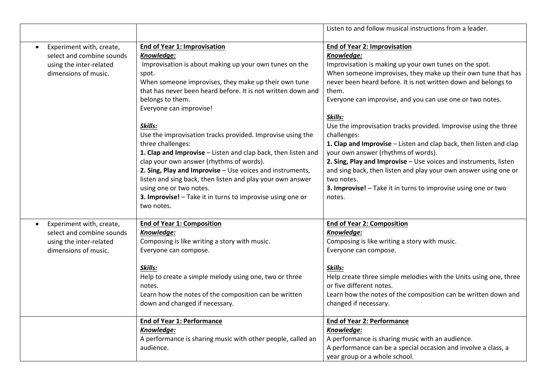|                           |                                                               | Listen to and follow musical instructions from a leader.           |
|---------------------------|---------------------------------------------------------------|--------------------------------------------------------------------|
| Experiment with, create,  | <b>End of Year 1: Improvisation</b>                           | <b>End of Year 2: Improvisation</b>                                |
| select and combine sounds | Knowledge:                                                    | Knowledge:                                                         |
| using the inter-related   | Improvisation is about making up your own tunes on the        | Improvisation is making up your own tunes on the spot.             |
| dimensions of music.      | spot.                                                         | When someone improvises, they make up their own tune that has      |
|                           | When someone improvises, they make up their own tune          | never been heard before. It is not written down and belongs to     |
|                           | that has never been heard before. It is not written down and  | them.                                                              |
|                           | belongs to them.                                              | Everyone can improvise, and you can use one or two notes.          |
|                           | Everyone can improvise!                                       |                                                                    |
|                           |                                                               | Skills:                                                            |
|                           | Skills:                                                       | Use the improvisation tracks provided. Improvise using the three   |
|                           | Use the improvisation tracks provided. Improvise using the    | challenges:                                                        |
|                           | three challenges:                                             | 1. Clap and Improvise - Listen and clap back, then listen and clap |
|                           | 1. Clap and Improvise - Listen and clap back, then listen and | your own answer (rhythms of words).                                |
|                           | clap your own answer (rhythms of words).                      | 2. Sing, Play and Improvise - Use voices and instruments, listen   |
|                           | 2. Sing, Play and Improvise - Use voices and instruments,     | and sing back, then listen and play your own answer using one or   |
|                           | listen and sing back, then listen and play your own answer    | two notes.                                                         |
|                           | using one or two notes.                                       | 3. Improvise! - Take it in turns to improvise using one or two     |
|                           | 3. Improvise! - Take it in turns to improvise using one or    | notes.                                                             |
|                           | two notes.                                                    |                                                                    |
| Experiment with, create,  | <b>End of Year 1: Composition</b>                             | End of Year 2: Composition                                         |
| select and combine sounds | Knowledge:                                                    | Knowledge:                                                         |
| using the inter-related   | Composing is like writing a story with music.                 | Composing is like writing a story with music.                      |
| dimensions of music.      | Everyone can compose.                                         | Everyone can compose.                                              |
|                           |                                                               |                                                                    |
|                           | Skills:                                                       | Skills:                                                            |
|                           | Help to create a simple melody using one, two or three        | Help create three simple melodies with the Units using one, three  |
|                           | notes.                                                        | or five different notes.                                           |
|                           | Learn how the notes of the composition can be written         | Learn how the notes of the composition can be written down and     |
|                           | down and changed if necessary.                                | changed if necessary.                                              |
|                           |                                                               |                                                                    |
|                           | <b>End of Year 1: Performance</b>                             | <b>End of Year 2: Performance</b>                                  |
|                           | Knowledge:                                                    | Knowledge:                                                         |
|                           | A performance is sharing music with other people, called an   | A performance is sharing music with an audience.                   |
|                           | audience.                                                     | A performance can be a special occasion and involve a class, a     |
|                           |                                                               | year group or a whole school.                                      |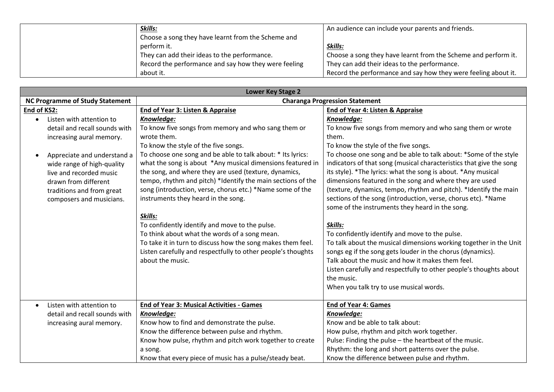| Skills:                                              | An audience can include your parents and friends.              |
|------------------------------------------------------|----------------------------------------------------------------|
| Choose a song they have learnt from the Scheme and   |                                                                |
| perform it.                                          | Skills:                                                        |
| They can add their ideas to the performance.         | Choose a song they have learnt from the Scheme and perform it. |
| Record the performance and say how they were feeling | They can add their ideas to the performance.                   |
| about it.                                            | Record the performance and say how they were feeling about it. |

| <b>Lower Key Stage 2</b>               |                                                              |                                                                     |  |
|----------------------------------------|--------------------------------------------------------------|---------------------------------------------------------------------|--|
| <b>NC Programme of Study Statement</b> | <b>Charanga Progression Statement</b>                        |                                                                     |  |
| End of KS2:                            | End of Year 3: Listen & Appraise                             | End of Year 4: Listen & Appraise                                    |  |
| Listen with attention to<br>$\bullet$  | Knowledge:                                                   | Knowledge:                                                          |  |
| detail and recall sounds with          | To know five songs from memory and who sang them or          | To know five songs from memory and who sang them or wrote           |  |
| increasing aural memory.               | wrote them.                                                  | them.                                                               |  |
|                                        | To know the style of the five songs.                         | To know the style of the five songs.                                |  |
| Appreciate and understand a            | To choose one song and be able to talk about: * Its lyrics:  | To choose one song and be able to talk about: *Some of the style    |  |
| wide range of high-quality             | what the song is about *Any musical dimensions featured in   | indicators of that song (musical characteristics that give the song |  |
| live and recorded music                | the song, and where they are used (texture, dynamics,        | its style). *The lyrics: what the song is about. *Any musical       |  |
| drawn from different                   | tempo, rhythm and pitch) *Identify the main sections of the  | dimensions featured in the song and where they are used             |  |
| traditions and from great              | song (introduction, verse, chorus etc.) *Name some of the    | (texture, dynamics, tempo, rhythm and pitch). *Identify the main    |  |
| composers and musicians.               | instruments they heard in the song.                          | sections of the song (introduction, verse, chorus etc). *Name       |  |
|                                        |                                                              | some of the instruments they heard in the song.                     |  |
|                                        | Skills:                                                      |                                                                     |  |
|                                        | To confidently identify and move to the pulse.               | Skills:                                                             |  |
|                                        | To think about what the words of a song mean.                | To confidently identify and move to the pulse.                      |  |
|                                        | To take it in turn to discuss how the song makes them feel.  | To talk about the musical dimensions working together in the Unit   |  |
|                                        | Listen carefully and respectfully to other people's thoughts | songs eg if the song gets louder in the chorus (dynamics).          |  |
|                                        | about the music.                                             | Talk about the music and how it makes them feel.                    |  |
|                                        |                                                              | Listen carefully and respectfully to other people's thoughts about  |  |
|                                        |                                                              | the music.                                                          |  |
|                                        |                                                              | When you talk try to use musical words.                             |  |
|                                        |                                                              |                                                                     |  |
| Listen with attention to<br>$\bullet$  | <b>End of Year 3: Musical Activities - Games</b>             | <b>End of Year 4: Games</b>                                         |  |
| detail and recall sounds with          | Knowledge:                                                   | Knowledge:                                                          |  |
| increasing aural memory.               | Know how to find and demonstrate the pulse.                  | Know and be able to talk about:                                     |  |
|                                        | Know the difference between pulse and rhythm.                | How pulse, rhythm and pitch work together.                          |  |
|                                        | Know how pulse, rhythm and pitch work together to create     | Pulse: Finding the pulse - the heartbeat of the music.              |  |
|                                        | a song.                                                      | Rhythm: the long and short patterns over the pulse.                 |  |
|                                        | Know that every piece of music has a pulse/steady beat.      | Know the difference between pulse and rhythm.                       |  |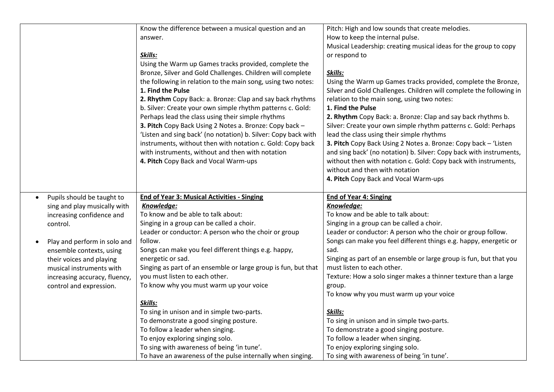|                               | Know the difference between a musical question and an                                                    | Pitch: High and low sounds that create melodies.                               |
|-------------------------------|----------------------------------------------------------------------------------------------------------|--------------------------------------------------------------------------------|
|                               | answer.                                                                                                  | How to keep the internal pulse.                                                |
|                               |                                                                                                          | Musical Leadership: creating musical ideas for the group to copy               |
|                               | Skills:                                                                                                  | or respond to                                                                  |
|                               | Using the Warm up Games tracks provided, complete the                                                    |                                                                                |
|                               | Bronze, Silver and Gold Challenges. Children will complete                                               | Skills:                                                                        |
|                               | the following in relation to the main song, using two notes:                                             | Using the Warm up Games tracks provided, complete the Bronze,                  |
|                               | 1. Find the Pulse                                                                                        | Silver and Gold Challenges. Children will complete the following in            |
|                               | 2. Rhythm Copy Back: a. Bronze: Clap and say back rhythms                                                | relation to the main song, using two notes:                                    |
|                               | b. Silver: Create your own simple rhythm patterns c. Gold:                                               | 1. Find the Pulse                                                              |
|                               | Perhaps lead the class using their simple rhythms                                                        | 2. Rhythm Copy Back: a. Bronze: Clap and say back rhythms b.                   |
|                               | 3. Pitch Copy Back Using 2 Notes a. Bronze: Copy back -                                                  | Silver: Create your own simple rhythm patterns c. Gold: Perhaps                |
|                               | 'Listen and sing back' (no notation) b. Silver: Copy back with                                           | lead the class using their simple rhythms                                      |
|                               | instruments, without then with notation c. Gold: Copy back                                               | 3. Pitch Copy Back Using 2 Notes a. Bronze: Copy back - 'Listen                |
|                               | with instruments, without and then with notation                                                         | and sing back' (no notation) b. Silver: Copy back with instruments,            |
|                               | 4. Pitch Copy Back and Vocal Warm-ups                                                                    | without then with notation c. Gold: Copy back with instruments,                |
|                               |                                                                                                          | without and then with notation                                                 |
|                               |                                                                                                          | 4. Pitch Copy Back and Vocal Warm-ups                                          |
|                               |                                                                                                          |                                                                                |
|                               |                                                                                                          |                                                                                |
|                               |                                                                                                          |                                                                                |
| Pupils should be taught to    | <b>End of Year 3: Musical Activities - Singing</b>                                                       | <b>End of Year 4: Singing</b>                                                  |
| sing and play musically with  | Knowledge:                                                                                               | Knowledge:                                                                     |
| increasing confidence and     | To know and be able to talk about:                                                                       | To know and be able to talk about:                                             |
| control.                      | Singing in a group can be called a choir.                                                                | Singing in a group can be called a choir.                                      |
|                               | Leader or conductor: A person who the choir or group                                                     | Leader or conductor: A person who the choir or group follow.                   |
| Play and perform in solo and  | follow.                                                                                                  | Songs can make you feel different things e.g. happy, energetic or              |
| ensemble contexts, using      | Songs can make you feel different things e.g. happy,                                                     | sad.                                                                           |
| their voices and playing      | energetic or sad.                                                                                        | Singing as part of an ensemble or large group is fun, but that you             |
| musical instruments with      | Singing as part of an ensemble or large group is fun, but that                                           | must listen to each other.                                                     |
| increasing accuracy, fluency, | you must listen to each other.                                                                           | Texture: How a solo singer makes a thinner texture than a large                |
| control and expression.       | To know why you must warm up your voice                                                                  | group.                                                                         |
|                               |                                                                                                          | To know why you must warm up your voice                                        |
|                               | Skills:                                                                                                  |                                                                                |
|                               | To sing in unison and in simple two-parts.                                                               | Skills:                                                                        |
|                               | To demonstrate a good singing posture.                                                                   | To sing in unison and in simple two-parts.                                     |
|                               | To follow a leader when singing.                                                                         | To demonstrate a good singing posture.                                         |
|                               | To enjoy exploring singing solo.                                                                         | To follow a leader when singing.                                               |
|                               | To sing with awareness of being 'in tune'.<br>To have an awareness of the pulse internally when singing. | To enjoy exploring singing solo.<br>To sing with awareness of being 'in tune'. |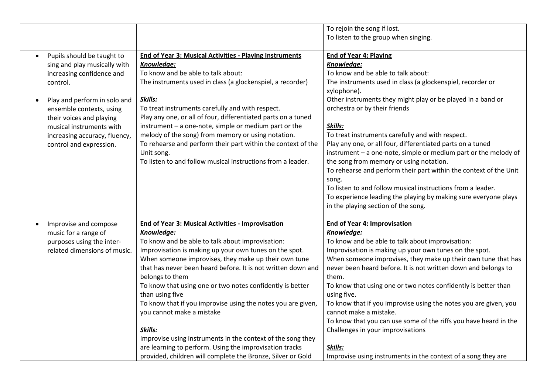|           |                               |                                                                           | To rejoin the song if lost.                                          |
|-----------|-------------------------------|---------------------------------------------------------------------------|----------------------------------------------------------------------|
|           |                               |                                                                           | To listen to the group when singing.                                 |
| $\bullet$ | Pupils should be taught to    | <b>End of Year 3: Musical Activities - Playing Instruments</b>            | <b>End of Year 4: Playing</b>                                        |
|           | sing and play musically with  | Knowledge:                                                                | Knowledge:                                                           |
|           | increasing confidence and     | To know and be able to talk about:                                        | To know and be able to talk about:                                   |
|           | control.                      | The instruments used in class (a glockenspiel, a recorder)                | The instruments used in class (a glockenspiel, recorder or           |
|           |                               |                                                                           | xylophone).                                                          |
| $\bullet$ | Play and perform in solo and  | Skills:                                                                   | Other instruments they might play or be played in a band or          |
|           | ensemble contexts, using      | To treat instruments carefully and with respect.                          | orchestra or by their friends                                        |
|           | their voices and playing      | Play any one, or all of four, differentiated parts on a tuned             |                                                                      |
|           | musical instruments with      | instrument - a one-note, simple or medium part or the                     | Skills:                                                              |
|           | increasing accuracy, fluency, | melody of the song) from memory or using notation.                        | To treat instruments carefully and with respect.                     |
|           | control and expression.       | To rehearse and perform their part within the context of the              | Play any one, or all four, differentiated parts on a tuned           |
|           |                               | Unit song.<br>To listen to and follow musical instructions from a leader. | instrument - a one-note, simple or medium part or the melody of      |
|           |                               |                                                                           | the song from memory or using notation.                              |
|           |                               |                                                                           | To rehearse and perform their part within the context of the Unit    |
|           |                               |                                                                           | song.<br>To listen to and follow musical instructions from a leader. |
|           |                               |                                                                           | To experience leading the playing by making sure everyone plays      |
|           |                               |                                                                           | in the playing section of the song.                                  |
|           |                               |                                                                           |                                                                      |
| $\bullet$ | Improvise and compose         | <b>End of Year 3: Musical Activities - Improvisation</b>                  | <b>End of Year 4: Improvisation</b>                                  |
|           | music for a range of          | Knowledge:                                                                | Knowledge:                                                           |
|           | purposes using the inter-     | To know and be able to talk about improvisation:                          | To know and be able to talk about improvisation:                     |
|           | related dimensions of music.  | Improvisation is making up your own tunes on the spot.                    | Improvisation is making up your own tunes on the spot.               |
|           |                               | When someone improvises, they make up their own tune                      | When someone improvises, they make up their own tune that has        |
|           |                               | that has never been heard before. It is not written down and              | never been heard before. It is not written down and belongs to       |
|           |                               | belongs to them                                                           | them.                                                                |
|           |                               | To know that using one or two notes confidently is better                 | To know that using one or two notes confidently is better than       |
|           |                               | than using five                                                           | using five.                                                          |
|           |                               | To know that if you improvise using the notes you are given,              | To know that if you improvise using the notes you are given, you     |
|           |                               | you cannot make a mistake                                                 | cannot make a mistake.                                               |
|           |                               |                                                                           | To know that you can use some of the riffs you have heard in the     |
|           |                               | Skills:                                                                   | Challenges in your improvisations                                    |
|           |                               | Improvise using instruments in the context of the song they               |                                                                      |
|           |                               | are learning to perform. Using the improvisation tracks                   | Skills:                                                              |
|           |                               | provided, children will complete the Bronze, Silver or Gold               | Improvise using instruments in the context of a song they are        |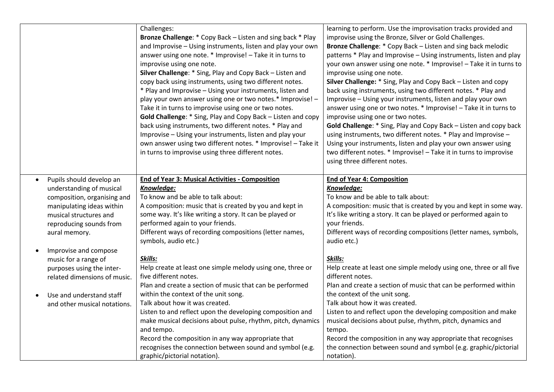|                                       | Challenges:                                                  | learning to perform. Use the improvisation tracks provided and      |
|---------------------------------------|--------------------------------------------------------------|---------------------------------------------------------------------|
|                                       | Bronze Challenge: * Copy Back - Listen and sing back * Play  | improvise using the Bronze, Silver or Gold Challenges.              |
|                                       | and Improvise - Using instruments, listen and play your own  | Bronze Challenge: * Copy Back - Listen and sing back melodic        |
|                                       | answer using one note. * Improvise! - Take it in turns to    | patterns * Play and Improvise - Using instruments, listen and play  |
|                                       | improvise using one note.                                    | your own answer using one note. * Improvise! - Take it in turns to  |
|                                       | Silver Challenge: * Sing, Play and Copy Back - Listen and    | improvise using one note.                                           |
|                                       | copy back using instruments, using two different notes.      | Silver Challenge: * Sing, Play and Copy Back - Listen and copy      |
|                                       | * Play and Improvise - Using your instruments, listen and    | back using instruments, using two different notes. * Play and       |
|                                       | play your own answer using one or two notes.* Improvise! -   | Improvise - Using your instruments, listen and play your own        |
|                                       | Take it in turns to improvise using one or two notes.        | answer using one or two notes. * Improvise! - Take it in turns to   |
|                                       | Gold Challenge: * Sing, Play and Copy Back - Listen and copy | improvise using one or two notes.                                   |
|                                       | back using instruments, two different notes. * Play and      | Gold Challenge: * Sing, Play and Copy Back - Listen and copy back   |
|                                       | Improvise - Using your instruments, listen and play your     | using instruments, two different notes. * Play and Improvise -      |
|                                       | own answer using two different notes. * Improvise! - Take it | Using your instruments, listen and play your own answer using       |
|                                       | in turns to improvise using three different notes.           | two different notes. * Improvise! - Take it in turns to improvise   |
|                                       |                                                              | using three different notes.                                        |
|                                       |                                                              |                                                                     |
| Pupils should develop an<br>$\bullet$ | <b>End of Year 3: Musical Activities - Composition</b>       | <b>End of Year 4: Composition</b>                                   |
| understanding of musical              | Knowledge:                                                   | Knowledge:                                                          |
| composition, organising and           | To know and be able to talk about:                           | To know and be able to talk about:                                  |
| manipulating ideas within             | A composition: music that is created by you and kept in      | A composition: music that is created by you and kept in some way.   |
| musical structures and                | some way. It's like writing a story. It can be played or     | It's like writing a story. It can be played or performed again to   |
| reproducing sounds from               | performed again to your friends.                             | your friends.                                                       |
| aural memory.                         | Different ways of recording compositions (letter names,      | Different ways of recording compositions (letter names, symbols,    |
|                                       | symbols, audio etc.)                                         | audio etc.)                                                         |
| Improvise and compose<br>$\bullet$    |                                                              |                                                                     |
| music for a range of                  | Skills:                                                      | Skills:                                                             |
| purposes using the inter-             | Help create at least one simple melody using one, three or   | Help create at least one simple melody using one, three or all five |
| related dimensions of music.          | five different notes.                                        | different notes.                                                    |
|                                       | Plan and create a section of music that can be performed     | Plan and create a section of music that can be performed within     |
| Use and understand staff              | within the context of the unit song.                         | the context of the unit song.                                       |
| and other musical notations.          | Talk about how it was created.                               | Talk about how it was created.                                      |
|                                       | Listen to and reflect upon the developing composition and    | Listen to and reflect upon the developing composition and make      |
|                                       | make musical decisions about pulse, rhythm, pitch, dynamics  | musical decisions about pulse, rhythm, pitch, dynamics and          |
|                                       | and tempo.                                                   | tempo.                                                              |
|                                       | Record the composition in any way appropriate that           | Record the composition in any way appropriate that recognises       |
|                                       | recognises the connection between sound and symbol (e.g.     | the connection between sound and symbol (e.g. graphic/pictorial     |
|                                       | graphic/pictorial notation).                                 | notation).                                                          |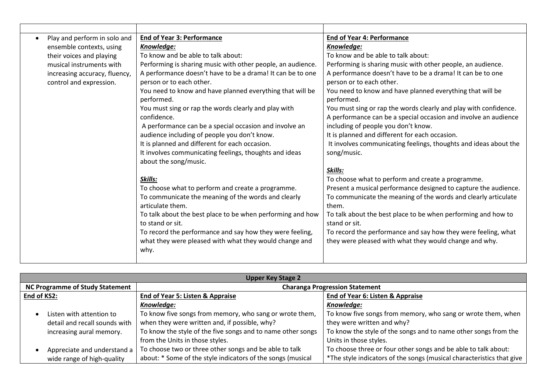| Play and perform in solo and  | <b>End of Year 3: Performance</b>                           | <b>End of Year 4: Performance</b>                                |
|-------------------------------|-------------------------------------------------------------|------------------------------------------------------------------|
| ensemble contexts, using      | Knowledge:                                                  | Knowledge:                                                       |
| their voices and playing      | To know and be able to talk about:                          | To know and be able to talk about:                               |
| musical instruments with      | Performing is sharing music with other people, an audience. | Performing is sharing music with other people, an audience.      |
| increasing accuracy, fluency, | A performance doesn't have to be a drama! It can be to one  | A performance doesn't have to be a drama! It can be to one       |
| control and expression.       | person or to each other.                                    | person or to each other.                                         |
|                               | You need to know and have planned everything that will be   | You need to know and have planned everything that will be        |
|                               | performed.                                                  | performed.                                                       |
|                               | You must sing or rap the words clearly and play with        | You must sing or rap the words clearly and play with confidence. |
|                               | confidence.                                                 | A performance can be a special occasion and involve an audience  |
|                               | A performance can be a special occasion and involve an      | including of people you don't know.                              |
|                               | audience including of people you don't know.                | It is planned and different for each occasion.                   |
|                               | It is planned and different for each occasion.              | It involves communicating feelings, thoughts and ideas about the |
|                               | It involves communicating feelings, thoughts and ideas      | song/music.                                                      |
|                               | about the song/music.                                       |                                                                  |
|                               |                                                             | Skills:                                                          |
|                               | Skills:                                                     | To choose what to perform and create a programme.                |
|                               | To choose what to perform and create a programme.           | Present a musical performance designed to capture the audience.  |
|                               | To communicate the meaning of the words and clearly         | To communicate the meaning of the words and clearly articulate   |
|                               | articulate them.                                            | them.                                                            |
|                               | To talk about the best place to be when performing and how  | To talk about the best place to be when performing and how to    |
|                               | to stand or sit.                                            | stand or sit.                                                    |
|                               | To record the performance and say how they were feeling,    | To record the performance and say how they were feeling, what    |
|                               | what they were pleased with what they would change and      | they were pleased with what they would change and why.           |
|                               | why.                                                        |                                                                  |
|                               |                                                             |                                                                  |

| <b>Upper Key Stage 2</b>               |                                                                      |                                                                       |  |
|----------------------------------------|----------------------------------------------------------------------|-----------------------------------------------------------------------|--|
| <b>NC Programme of Study Statement</b> | <b>Charanga Progression Statement</b>                                |                                                                       |  |
| End of KS2:                            | End of Year 6: Listen & Appraise<br>End of Year 5: Listen & Appraise |                                                                       |  |
|                                        | Knowledge:                                                           | Knowledge:                                                            |  |
| Listen with attention to               | To know five songs from memory, who sang or wrote them,              | To know five songs from memory, who sang or wrote them, when          |  |
| detail and recall sounds with          | when they were written and, if possible, why?                        | they were written and why?                                            |  |
| increasing aural memory.               | To know the style of the five songs and to name other songs          | To know the style of the songs and to name other songs from the       |  |
|                                        | from the Units in those styles.                                      | Units in those styles.                                                |  |
| Appreciate and understand a            | To choose two or three other songs and be able to talk               | To choose three or four other songs and be able to talk about:        |  |
| wide range of high-quality             | about: * Some of the style indicators of the songs (musical          | *The style indicators of the songs (musical characteristics that give |  |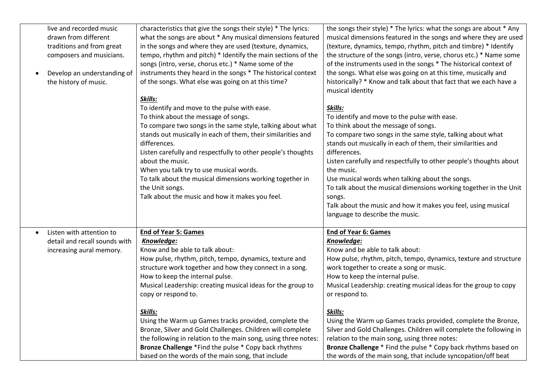|           | live and recorded music       | characteristics that give the songs their style) * The lyrics: | the songs their style) * The lyrics: what the songs are about * Any |
|-----------|-------------------------------|----------------------------------------------------------------|---------------------------------------------------------------------|
|           | drawn from different          | what the songs are about * Any musical dimensions featured     | musical dimensions featured in the songs and where they are used    |
|           | traditions and from great     | in the songs and where they are used (texture, dynamics,       | (texture, dynamics, tempo, rhythm, pitch and timbre) * Identify     |
|           | composers and musicians.      | tempo, rhythm and pitch) * Identify the main sections of the   | the structure of the songs (intro, verse, chorus etc.) * Name some  |
|           |                               | songs (intro, verse, chorus etc.) * Name some of the           | of the instruments used in the songs * The historical context of    |
|           | Develop an understanding of   | instruments they heard in the songs * The historical context   | the songs. What else was going on at this time, musically and       |
|           | the history of music.         | of the songs. What else was going on at this time?             | historically? * Know and talk about that fact that we each have a   |
|           |                               |                                                                | musical identity                                                    |
|           |                               | Skills:                                                        |                                                                     |
|           |                               | To identify and move to the pulse with ease.                   | Skills:                                                             |
|           |                               | To think about the message of songs.                           | To identify and move to the pulse with ease.                        |
|           |                               | To compare two songs in the same style, talking about what     | To think about the message of songs.                                |
|           |                               | stands out musically in each of them, their similarities and   | To compare two songs in the same style, talking about what          |
|           |                               | differences.                                                   | stands out musically in each of them, their similarities and        |
|           |                               | Listen carefully and respectfully to other people's thoughts   | differences.                                                        |
|           |                               | about the music.                                               | Listen carefully and respectfully to other people's thoughts about  |
|           |                               | When you talk try to use musical words.                        | the music.                                                          |
|           |                               | To talk about the musical dimensions working together in       | Use musical words when talking about the songs.                     |
|           |                               | the Unit songs.                                                | To talk about the musical dimensions working together in the Unit   |
|           |                               | Talk about the music and how it makes you feel.                | songs.                                                              |
|           |                               |                                                                | Talk about the music and how it makes you feel, using musical       |
|           |                               |                                                                | language to describe the music.                                     |
|           |                               |                                                                |                                                                     |
| $\bullet$ | Listen with attention to      | <b>End of Year 5: Games</b>                                    | <b>End of Year 6: Games</b>                                         |
|           | detail and recall sounds with | Knowledge:                                                     | Knowledge:                                                          |
|           | increasing aural memory.      | Know and be able to talk about:                                | Know and be able to talk about:                                     |
|           |                               | How pulse, rhythm, pitch, tempo, dynamics, texture and         | How pulse, rhythm, pitch, tempo, dynamics, texture and structure    |
|           |                               | structure work together and how they connect in a song.        | work together to create a song or music.                            |
|           |                               | How to keep the internal pulse.                                | How to keep the internal pulse.                                     |
|           |                               | Musical Leadership: creating musical ideas for the group to    | Musical Leadership: creating musical ideas for the group to copy    |
|           |                               | copy or respond to.                                            | or respond to.                                                      |
|           |                               |                                                                |                                                                     |
|           |                               | Skills:                                                        | Skills:                                                             |
|           |                               | Using the Warm up Games tracks provided, complete the          | Using the Warm up Games tracks provided, complete the Bronze,       |
|           |                               | Bronze, Silver and Gold Challenges. Children will complete     | Silver and Gold Challenges. Children will complete the following in |
|           |                               | the following in relation to the main song, using three notes: | relation to the main song, using three notes:                       |
|           |                               | Bronze Challenge *Find the pulse * Copy back rhythms           | Bronze Challenge * Find the pulse * Copy back rhythms based on      |
|           |                               | based on the words of the main song, that include              | the words of the main song, that include syncopation/off beat       |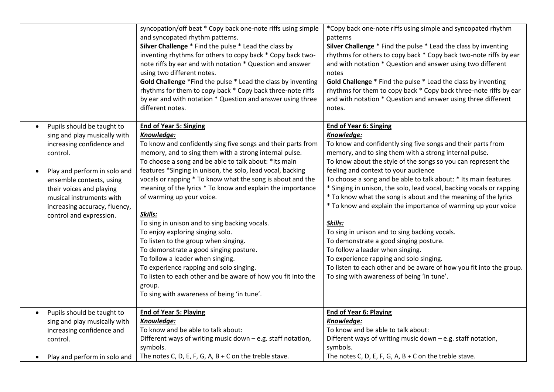|                                                                                                                                                                                                                                                                                                               | syncopation/off beat * Copy back one-note riffs using simple<br>and syncopated rhythm patterns.<br>Silver Challenge * Find the pulse * Lead the class by<br>inventing rhythms for others to copy back * Copy back two-<br>note riffs by ear and with notation * Question and answer<br>using two different notes.<br>Gold Challenge *Find the pulse * Lead the class by inventing<br>rhythms for them to copy back * Copy back three-note riffs<br>by ear and with notation * Question and answer using three<br>different notes.                                                                                                                                                                                                                                                                                                              | *Copy back one-note riffs using simple and syncopated rhythm<br>patterns<br>Silver Challenge * Find the pulse * Lead the class by inventing<br>rhythms for others to copy back * Copy back two-note riffs by ear<br>and with notation * Question and answer using two different<br>notes<br>Gold Challenge * Find the pulse * Lead the class by inventing<br>rhythms for them to copy back * Copy back three-note riffs by ear<br>and with notation * Question and answer using three different<br>notes.                                                                                                                                                                                                                                                                                                                                                              |
|---------------------------------------------------------------------------------------------------------------------------------------------------------------------------------------------------------------------------------------------------------------------------------------------------------------|------------------------------------------------------------------------------------------------------------------------------------------------------------------------------------------------------------------------------------------------------------------------------------------------------------------------------------------------------------------------------------------------------------------------------------------------------------------------------------------------------------------------------------------------------------------------------------------------------------------------------------------------------------------------------------------------------------------------------------------------------------------------------------------------------------------------------------------------|------------------------------------------------------------------------------------------------------------------------------------------------------------------------------------------------------------------------------------------------------------------------------------------------------------------------------------------------------------------------------------------------------------------------------------------------------------------------------------------------------------------------------------------------------------------------------------------------------------------------------------------------------------------------------------------------------------------------------------------------------------------------------------------------------------------------------------------------------------------------|
| Pupils should be taught to<br>$\bullet$<br>sing and play musically with<br>increasing confidence and<br>control.<br>Play and perform in solo and<br>$\bullet$<br>ensemble contexts, using<br>their voices and playing<br>musical instruments with<br>increasing accuracy, fluency,<br>control and expression. | <b>End of Year 5: Singing</b><br>Knowledge:<br>To know and confidently sing five songs and their parts from<br>memory, and to sing them with a strong internal pulse.<br>To choose a song and be able to talk about: *Its main<br>features *Singing in unison, the solo, lead vocal, backing<br>vocals or rapping * To know what the song is about and the<br>meaning of the lyrics * To know and explain the importance<br>of warming up your voice.<br>Skills:<br>To sing in unison and to sing backing vocals.<br>To enjoy exploring singing solo.<br>To listen to the group when singing.<br>To demonstrate a good singing posture.<br>To follow a leader when singing.<br>To experience rapping and solo singing.<br>To listen to each other and be aware of how you fit into the<br>group.<br>To sing with awareness of being 'in tune'. | <b>End of Year 6: Singing</b><br>Knowledge:<br>To know and confidently sing five songs and their parts from<br>memory, and to sing them with a strong internal pulse.<br>To know about the style of the songs so you can represent the<br>feeling and context to your audience<br>To choose a song and be able to talk about: * Its main features<br>* Singing in unison, the solo, lead vocal, backing vocals or rapping<br>* To know what the song is about and the meaning of the lyrics<br>* To know and explain the importance of warming up your voice<br>Skills:<br>To sing in unison and to sing backing vocals.<br>To demonstrate a good singing posture.<br>To follow a leader when singing.<br>To experience rapping and solo singing.<br>To listen to each other and be aware of how you fit into the group.<br>To sing with awareness of being 'in tune'. |
| Pupils should be taught to<br>$\bullet$<br>sing and play musically with<br>increasing confidence and<br>control.<br>Play and perform in solo and                                                                                                                                                              | <b>End of Year 5: Playing</b><br>Knowledge:<br>To know and be able to talk about:<br>Different ways of writing music down - e.g. staff notation,<br>symbols.<br>The notes C, D, E, F, G, A, B + C on the treble stave.                                                                                                                                                                                                                                                                                                                                                                                                                                                                                                                                                                                                                         | <b>End of Year 6: Playing</b><br>Knowledge:<br>To know and be able to talk about:<br>Different ways of writing music down - e.g. staff notation,<br>symbols.<br>The notes C, D, E, F, G, A, B + C on the treble stave.                                                                                                                                                                                                                                                                                                                                                                                                                                                                                                                                                                                                                                                 |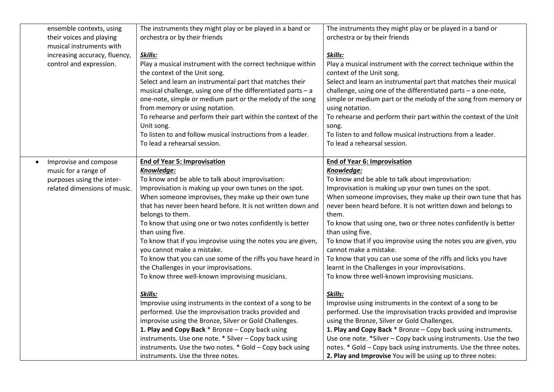| ensemble contexts, using<br>their voices and playing<br>musical instruments with<br>increasing accuracy, fluency,<br>control and expression. | The instruments they might play or be played in a band or<br>orchestra or by their friends<br>Skills:<br>Play a musical instrument with the correct technique within<br>the context of the Unit song.<br>Select and learn an instrumental part that matches their<br>musical challenge, using one of the differentiated parts - a<br>one-note, simple or medium part or the melody of the song<br>from memory or using notation.<br>To rehearse and perform their part within the context of the<br>Unit song.<br>To listen to and follow musical instructions from a leader.<br>To lead a rehearsal session.                                                                                                                                                                                                                                                                                                                                                                                                                                                    | The instruments they might play or be played in a band or<br>orchestra or by their friends<br>Skills:<br>Play a musical instrument with the correct technique within the<br>context of the Unit song.<br>Select and learn an instrumental part that matches their musical<br>challenge, using one of the differentiated parts - a one-note,<br>simple or medium part or the melody of the song from memory or<br>using notation.<br>To rehearse and perform their part within the context of the Unit<br>song.<br>To listen to and follow musical instructions from a leader.<br>To lead a rehearsal session.                                                                                                                                                                                                                                                                                                                                                                                                                                                                                                                                |
|----------------------------------------------------------------------------------------------------------------------------------------------|------------------------------------------------------------------------------------------------------------------------------------------------------------------------------------------------------------------------------------------------------------------------------------------------------------------------------------------------------------------------------------------------------------------------------------------------------------------------------------------------------------------------------------------------------------------------------------------------------------------------------------------------------------------------------------------------------------------------------------------------------------------------------------------------------------------------------------------------------------------------------------------------------------------------------------------------------------------------------------------------------------------------------------------------------------------|----------------------------------------------------------------------------------------------------------------------------------------------------------------------------------------------------------------------------------------------------------------------------------------------------------------------------------------------------------------------------------------------------------------------------------------------------------------------------------------------------------------------------------------------------------------------------------------------------------------------------------------------------------------------------------------------------------------------------------------------------------------------------------------------------------------------------------------------------------------------------------------------------------------------------------------------------------------------------------------------------------------------------------------------------------------------------------------------------------------------------------------------|
| Improvise and compose<br>music for a range of<br>purposes using the inter-<br>related dimensions of music.                                   | <b>End of Year 5: Improvisation</b><br>Knowledge:<br>To know and be able to talk about improvisation:<br>Improvisation is making up your own tunes on the spot.<br>When someone improvises, they make up their own tune<br>that has never been heard before. It is not written down and<br>belongs to them.<br>To know that using one or two notes confidently is better<br>than using five.<br>To know that if you improvise using the notes you are given,<br>you cannot make a mistake.<br>To know that you can use some of the riffs you have heard in<br>the Challenges in your improvisations.<br>To know three well-known improvising musicians.<br>Skills:<br>Improvise using instruments in the context of a song to be<br>performed. Use the improvisation tracks provided and<br>improvise using the Bronze, Silver or Gold Challenges.<br>1. Play and Copy Back * Bronze - Copy back using<br>instruments. Use one note. * Silver - Copy back using<br>instruments. Use the two notes. * Gold - Copy back using<br>instruments. Use the three notes. | <b>End of Year 6: Improvisation</b><br>Knowledge:<br>To know and be able to talk about improvisation:<br>Improvisation is making up your own tunes on the spot.<br>When someone improvises, they make up their own tune that has<br>never been heard before. It is not written down and belongs to<br>them.<br>To know that using one, two or three notes confidently is better<br>than using five.<br>To know that if you improvise using the notes you are given, you<br>cannot make a mistake.<br>To know that you can use some of the riffs and licks you have<br>learnt in the Challenges in your improvisations.<br>To know three well-known improvising musicians.<br>Skills:<br>Improvise using instruments in the context of a song to be<br>performed. Use the improvisation tracks provided and improvise<br>using the Bronze, Silver or Gold Challenges.<br>1. Play and Copy Back * Bronze - Copy back using instruments.<br>Use one note. *Silver - Copy back using instruments. Use the two<br>notes. * Gold - Copy back using instruments. Use the three notes.<br>2. Play and Improvise You will be using up to three notes: |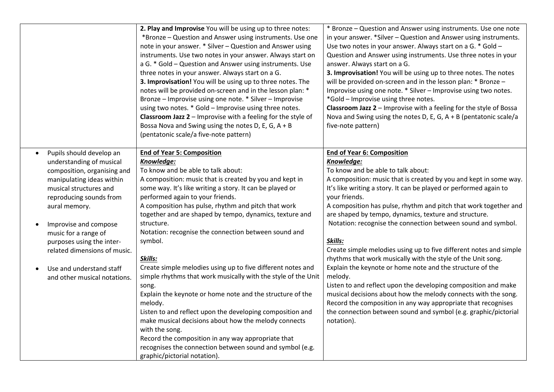|                                                                                                                                                                                                                                                                                                                                                                               | 2. Play and Improvise You will be using up to three notes:<br>*Bronze - Question and Answer using instruments. Use one<br>note in your answer. * Silver - Question and Answer using<br>instruments. Use two notes in your answer. Always start on<br>a G. * Gold - Question and Answer using instruments. Use<br>three notes in your answer. Always start on a G.<br>3. Improvisation! You will be using up to three notes. The<br>notes will be provided on-screen and in the lesson plan: *<br>Bronze - Improvise using one note. * Silver - Improvise<br>using two notes. * Gold - Improvise using three notes.<br><b>Classroom Jazz 2</b> - Improvise with a feeling for the style of<br>Bossa Nova and Swing using the notes D, E, G, $A + B$<br>(pentatonic scale/a five-note pattern)                                                                                                                                                                             | * Bronze - Question and Answer using instruments. Use one note<br>in your answer. *Silver – Question and Answer using instruments.<br>Use two notes in your answer. Always start on a G. * Gold -<br>Question and Answer using instruments. Use three notes in your<br>answer. Always start on a G.<br>3. Improvisation! You will be using up to three notes. The notes<br>will be provided on-screen and in the lesson plan: * Bronze -<br>Improvise using one note. * Silver - Improvise using two notes.<br>*Gold - Improvise using three notes.<br>Classroom Jazz 2 - Improvise with a feeling for the style of Bossa<br>Nova and Swing using the notes D, E, G, $A + B$ (pentatonic scale/a<br>five-note pattern)                                                                                                                                                                                                                                       |
|-------------------------------------------------------------------------------------------------------------------------------------------------------------------------------------------------------------------------------------------------------------------------------------------------------------------------------------------------------------------------------|--------------------------------------------------------------------------------------------------------------------------------------------------------------------------------------------------------------------------------------------------------------------------------------------------------------------------------------------------------------------------------------------------------------------------------------------------------------------------------------------------------------------------------------------------------------------------------------------------------------------------------------------------------------------------------------------------------------------------------------------------------------------------------------------------------------------------------------------------------------------------------------------------------------------------------------------------------------------------|--------------------------------------------------------------------------------------------------------------------------------------------------------------------------------------------------------------------------------------------------------------------------------------------------------------------------------------------------------------------------------------------------------------------------------------------------------------------------------------------------------------------------------------------------------------------------------------------------------------------------------------------------------------------------------------------------------------------------------------------------------------------------------------------------------------------------------------------------------------------------------------------------------------------------------------------------------------|
| Pupils should develop an<br>$\bullet$<br>understanding of musical<br>composition, organising and<br>manipulating ideas within<br>musical structures and<br>reproducing sounds from<br>aural memory.<br>Improvise and compose<br>music for a range of<br>purposes using the inter-<br>related dimensions of music.<br>Use and understand staff<br>and other musical notations. | <b>End of Year 5: Composition</b><br>Knowledge:<br>To know and be able to talk about:<br>A composition: music that is created by you and kept in<br>some way. It's like writing a story. It can be played or<br>performed again to your friends.<br>A composition has pulse, rhythm and pitch that work<br>together and are shaped by tempo, dynamics, texture and<br>structure.<br>Notation: recognise the connection between sound and<br>symbol.<br>Skills:<br>Create simple melodies using up to five different notes and<br>simple rhythms that work musically with the style of the Unit<br>song.<br>Explain the keynote or home note and the structure of the<br>melody.<br>Listen to and reflect upon the developing composition and<br>make musical decisions about how the melody connects<br>with the song.<br>Record the composition in any way appropriate that<br>recognises the connection between sound and symbol (e.g.<br>graphic/pictorial notation). | <b>End of Year 6: Composition</b><br>Knowledge:<br>To know and be able to talk about:<br>A composition: music that is created by you and kept in some way.<br>It's like writing a story. It can be played or performed again to<br>your friends.<br>A composition has pulse, rhythm and pitch that work together and<br>are shaped by tempo, dynamics, texture and structure.<br>Notation: recognise the connection between sound and symbol.<br>Skills:<br>Create simple melodies using up to five different notes and simple<br>rhythms that work musically with the style of the Unit song.<br>Explain the keynote or home note and the structure of the<br>melody.<br>Listen to and reflect upon the developing composition and make<br>musical decisions about how the melody connects with the song.<br>Record the composition in any way appropriate that recognises<br>the connection between sound and symbol (e.g. graphic/pictorial<br>notation). |